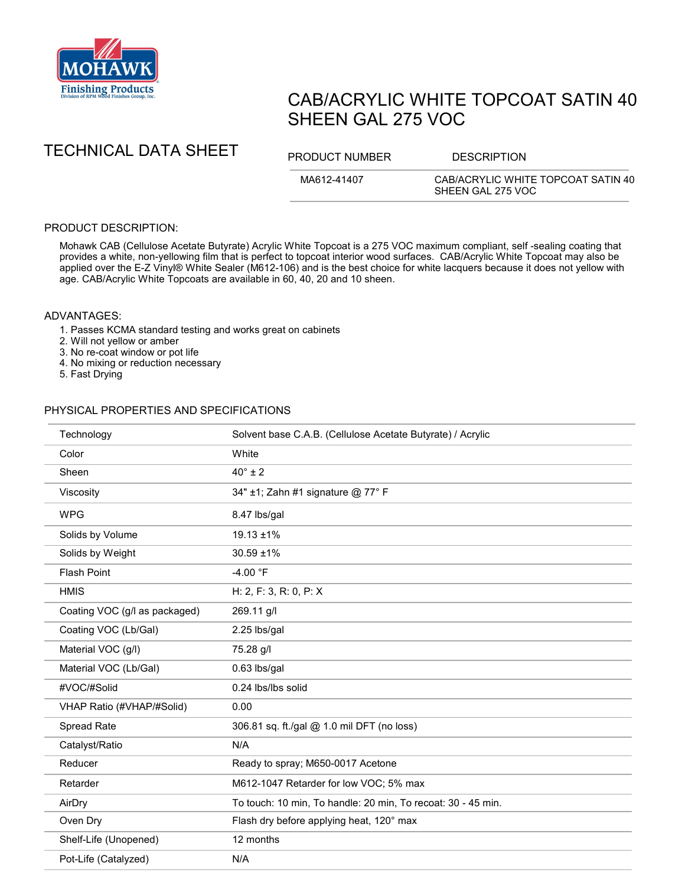

# CAB/ACRYLIC WHITE TOPCOAT SATIN 40 SHEEN GAL 275 VOC

TECHNICAL DATA SHEET PRODUCT NUMBER DESCRIPTION

MA612-41407 CAB/ACRYLIC WHITE TOPCOAT SATIN 40 SHEEN GAL 275 VOC

## PRODUCT DESCRIPTION:

Mohawk CAB (Cellulose Acetate Butyrate) Acrylic White Topcoat is a 275 VOC maximum compliant, self -sealing coating that provides a white, non-yellowing film that is perfect to topcoat interior wood surfaces. CAB/Acrylic White Topcoat may also be applied over the E-Z Vinyl® White Sealer (M612-106) and is the best choice for white lacquers because it does not yellow with age. CAB/Acrylic White Topcoats are available in 60, 40, 20 and 10 sheen.

### ADVANTAGES:

- 1. Passes KCMA standard testing and works great on cabinets
- 2. Will not yellow or amber
- 3. No re-coat window or pot life
- 4. No mixing or reduction necessary
- 5. Fast Drying

### PHYSICAL PROPERTIES AND SPECIFICATIONS

| Technology                    | Solvent base C.A.B. (Cellulose Acetate Butyrate) / Acrylic   |
|-------------------------------|--------------------------------------------------------------|
| Color                         | White                                                        |
| Sheen                         | $40^\circ \pm 2$                                             |
| Viscosity                     | 34" ±1; Zahn #1 signature @ 77° F                            |
| <b>WPG</b>                    | 8.47 lbs/gal                                                 |
| Solids by Volume              | 19.13 ±1%                                                    |
| Solids by Weight              | 30.59 ±1%                                                    |
| <b>Flash Point</b>            | $-4.00 °F$                                                   |
| <b>HMIS</b>                   | H: 2, F: 3, R: 0, P: X                                       |
| Coating VOC (g/l as packaged) | 269.11 g/l                                                   |
| Coating VOC (Lb/Gal)          | 2.25 lbs/gal                                                 |
| Material VOC (g/l)            | 75.28 g/l                                                    |
| Material VOC (Lb/Gal)         | 0.63 lbs/gal                                                 |
| #VOC/#Solid                   | 0.24 lbs/lbs solid                                           |
| VHAP Ratio (#VHAP/#Solid)     | 0.00                                                         |
| Spread Rate                   | 306.81 sq. ft./gal @ 1.0 mil DFT (no loss)                   |
| Catalyst/Ratio                | N/A                                                          |
| Reducer                       | Ready to spray; M650-0017 Acetone                            |
| Retarder                      | M612-1047 Retarder for low VOC; 5% max                       |
| AirDry                        | To touch: 10 min, To handle: 20 min, To recoat: 30 - 45 min. |
| Oven Dry                      | Flash dry before applying heat, 120° max                     |
| Shelf-Life (Unopened)         | 12 months                                                    |
| Pot-Life (Catalyzed)          | N/A                                                          |